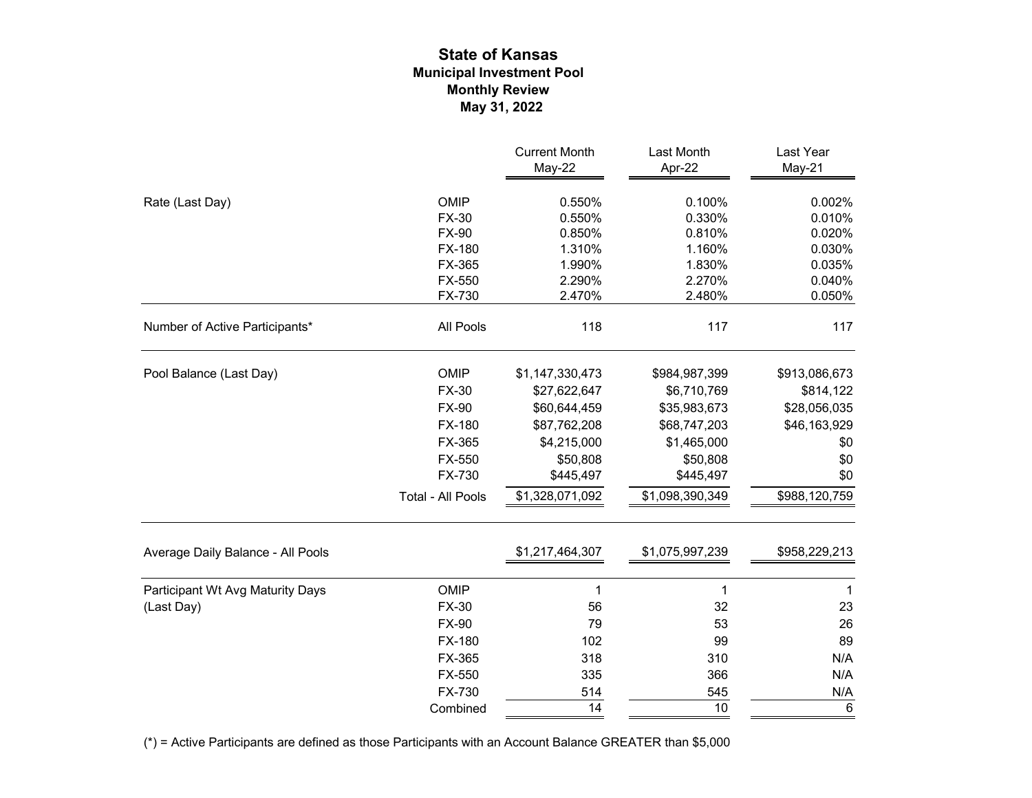## **Municipal Investment Pool State of Kansas May 31, 2022 Monthly Review**

|                                   |                   | <b>Current Month</b><br>May-22 | Last Month<br>Apr-22 | Last Year<br>May-21 |
|-----------------------------------|-------------------|--------------------------------|----------------------|---------------------|
|                                   |                   |                                |                      |                     |
| Rate (Last Day)                   | OMIP              | 0.550%                         | 0.100%               | 0.002%              |
|                                   | <b>FX-30</b>      | 0.550%                         | 0.330%               | 0.010%              |
|                                   | <b>FX-90</b>      | 0.850%                         | 0.810%               | 0.020%              |
|                                   | FX-180            | 1.310%                         | 1.160%               | 0.030%              |
|                                   | FX-365            | 1.990%                         | 1.830%               | 0.035%              |
|                                   | FX-550            | 2.290%                         | 2.270%               | 0.040%              |
|                                   | FX-730            | 2.470%                         | 2.480%               | 0.050%              |
| Number of Active Participants*    | All Pools         | 118                            | 117                  | 117                 |
| Pool Balance (Last Day)           | OMIP              | \$1,147,330,473                | \$984,987,399        | \$913,086,673       |
|                                   | <b>FX-30</b>      | \$27,622,647                   | \$6,710,769          | \$814,122           |
|                                   | <b>FX-90</b>      | \$60,644,459                   | \$35,983,673         | \$28,056,035        |
|                                   | FX-180            | \$87,762,208                   | \$68,747,203         | \$46,163,929        |
|                                   | FX-365            | \$4,215,000                    | \$1,465,000          | \$0                 |
|                                   | FX-550            | \$50,808                       | \$50,808             | \$0                 |
|                                   | FX-730            | \$445,497                      | \$445,497            | \$0                 |
|                                   | Total - All Pools | \$1,328,071,092                | \$1,098,390,349      | \$988,120,759       |
| Average Daily Balance - All Pools |                   | \$1,217,464,307                | \$1,075,997,239      | \$958,229,213       |
|                                   |                   |                                |                      |                     |
| Participant Wt Avg Maturity Days  | OMIP              | 1                              | 1                    | 1                   |
| (Last Day)                        | <b>FX-30</b>      | 56                             | 32                   | 23                  |
|                                   | <b>FX-90</b>      | 79                             | 53                   | 26                  |
|                                   | FX-180            | 102                            | 99                   | 89                  |
|                                   | FX-365            | 318                            | 310                  | N/A                 |
|                                   | FX-550            | 335                            | 366                  | N/A                 |
|                                   | FX-730            | 514                            | 545                  | N/A                 |
|                                   | Combined          | 14                             | 10                   | $6\phantom{1}6$     |

(\*) = Active Participants are defined as those Participants with an Account Balance GREATER than \$5,000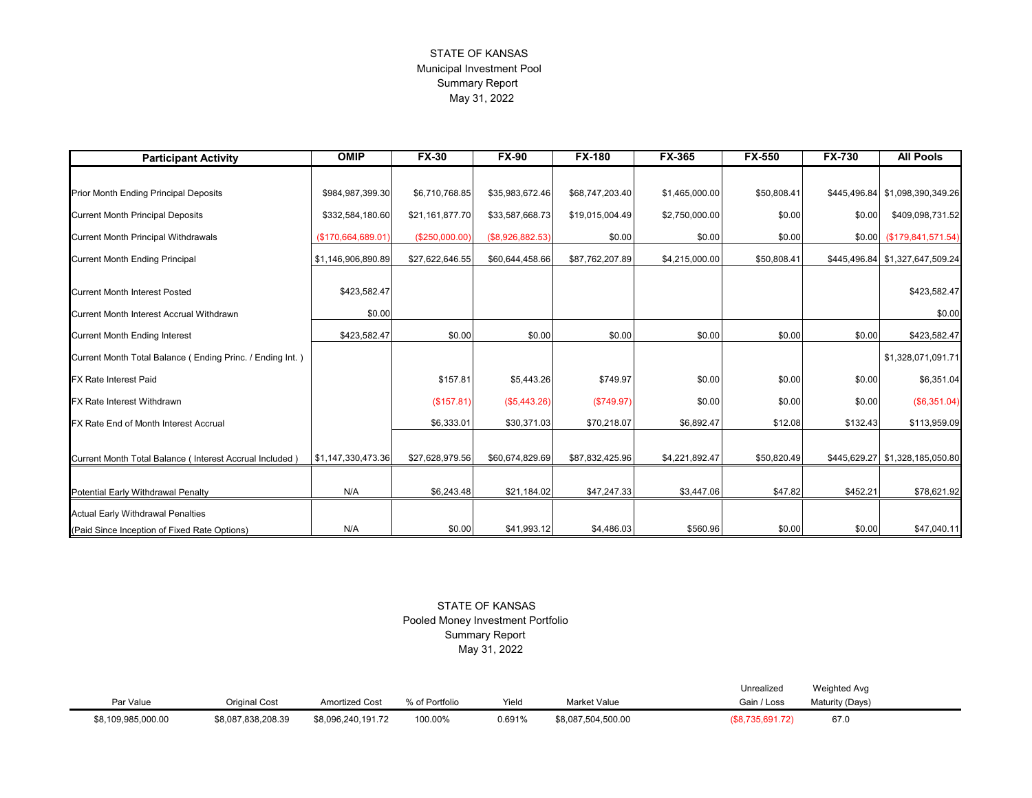## STATE OF KANSAS Municipal Investment Pool Summary Report May 31, 2022

| <b>Participant Activity</b>                               | <b>OMIP</b>        | <b>FX-30</b>    | $FX-90$          | <b>FX-180</b>   | <b>FX-365</b>  | <b>FX-550</b> | <b>FX-730</b> | <b>All Pools</b>                |  |  |
|-----------------------------------------------------------|--------------------|-----------------|------------------|-----------------|----------------|---------------|---------------|---------------------------------|--|--|
|                                                           |                    |                 |                  |                 |                |               |               |                                 |  |  |
| Prior Month Ending Principal Deposits                     | \$984,987,399.30   | \$6,710,768.85  | \$35,983,672.46  | \$68,747,203.40 | \$1,465,000.00 | \$50,808.41   | \$445,496.84  | \$1,098,390,349.26              |  |  |
| <b>Current Month Principal Deposits</b>                   | \$332,584,180.60   | \$21,161,877.70 | \$33,587,668.73  | \$19,015,004.49 | \$2,750,000.00 | \$0.00        | \$0.00        | \$409,098,731.52                |  |  |
| <b>Current Month Principal Withdrawals</b>                | (\$170,664,689.01) | (\$250,000.00)  | (\$8,926,882.53) | \$0.00          | \$0.00         | \$0.00        |               | $$0.00$ (\$179,841,571.54)      |  |  |
| <b>Current Month Ending Principal</b>                     | \$1,146,906,890.89 | \$27,622,646.55 | \$60,644,458.66  | \$87,762,207.89 | \$4,215,000.00 | \$50,808.41   |               | \$445,496.84 \$1,327,647,509.24 |  |  |
| <b>Current Month Interest Posted</b>                      | \$423,582.47       |                 |                  |                 |                |               |               | \$423,582.47                    |  |  |
| Current Month Interest Accrual Withdrawn                  | \$0.00             |                 |                  |                 |                |               |               | \$0.00                          |  |  |
| <b>Current Month Ending Interest</b>                      | \$423,582.47       | \$0.00          | \$0.00           | \$0.00          | \$0.00         | \$0.00        | \$0.00        | \$423,582.47                    |  |  |
| Current Month Total Balance (Ending Princ. / Ending Int.) |                    |                 |                  |                 |                |               |               | \$1,328,071,091.71              |  |  |
| FX Rate Interest Paid                                     |                    | \$157.81        | \$5,443.26       | \$749.97        | \$0.00         | \$0.00        | \$0.00        | \$6,351.04                      |  |  |
| FX Rate Interest Withdrawn                                |                    | (\$157.81)      | (\$5,443.26)     | (\$749.97)      | \$0.00         | \$0.00        | \$0.00        | (\$6,351.04)                    |  |  |
| FX Rate End of Month Interest Accrual                     |                    | \$6.333.01      | \$30,371.03      | \$70,218.07     | \$6,892.47     | \$12.08       | \$132.43      | \$113,959.09                    |  |  |
| Current Month Total Balance (Interest Accrual Included)   | \$1,147,330,473.36 | \$27,628,979.56 | \$60,674,829.69  | \$87,832,425.96 | \$4,221,892.47 | \$50,820.49   |               | \$445,629.27 \$1,328,185,050.80 |  |  |
|                                                           |                    |                 |                  |                 |                |               |               |                                 |  |  |
| <b>Potential Early Withdrawal Penalty</b>                 | N/A                | \$6,243.48      | \$21,184.02      | \$47,247.33     | \$3,447.06     | \$47.82       | \$452.21      | \$78,621.92                     |  |  |
| <b>Actual Early Withdrawal Penalties</b>                  |                    |                 |                  |                 |                |               |               |                                 |  |  |
| (Paid Since Inception of Fixed Rate Options)              | N/A                | \$0.00          | \$41,993.12      | \$4,486.03      | \$560.96       | \$0.00        | \$0.00        | \$47,040.11                     |  |  |

 STATE OF KANSAS Pooled Money Investment Portfolio Summary Report May 31, 2022

|                  |                    |                       |           |        |                    | Unrealized     | Weighted Avg          |  |
|------------------|--------------------|-----------------------|-----------|--------|--------------------|----------------|-----------------------|--|
| Par Value        | Original Cost      | <b>Amortized Cost</b> | Portfolio | Yiela  | Market Value       | Gain / Loss    | Matu<br>'urity (Days) |  |
| 8,109,985,000.00 | \$8,087,838,208.39 | \$8,096,240,191.72    | 100.00%   | 0.691% | \$8,087,504,500.00 | \$8,735,691.72 | 67.0                  |  |